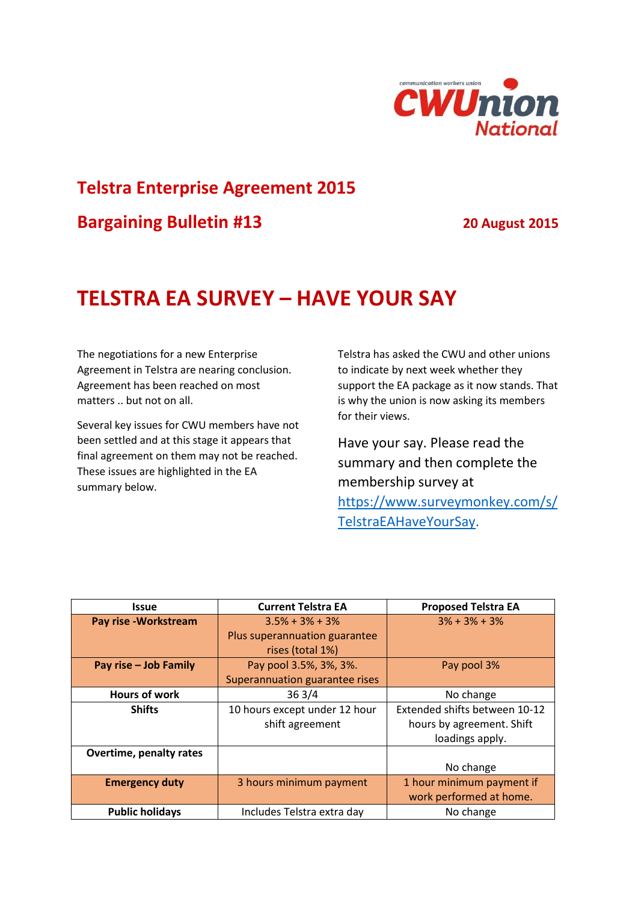

# **Telstra Enterprise Agreement 2015**

**Bargaining Bulletin #13 20 August 2015**

## **TELSTRA EA SURVEY – HAVE YOUR SAY**

The negotiations for a new Enterprise Agreement in Telstra are nearing conclusion. Agreement has been reached on most matters .. but not on all.

Several key issues for CWU members have not been settled and at this stage it appears that final agreement on them may not be reached. These issues are highlighted in the EA summary below.

Telstra has asked the CWU and other unions to indicate by next week whether they support the EA package as it now stands. That is why the union is now asking its members for their views.

Have your say. Please read the summary and then complete the membership survey at

[https://www.surveymonkey.com/s/](https://www.surveymonkey.com/s/TelstraEAHaveYourSay) [TelstraEAHaveYourSay.](https://www.surveymonkey.com/s/TelstraEAHaveYourSay)

| <b>Issue</b>            | <b>Current Telstra EA</b>      | <b>Proposed Telstra EA</b>    |
|-------------------------|--------------------------------|-------------------------------|
| Pay rise - Workstream   | $3.5\% + 3\% + 3\%$            | $3\% + 3\% + 3\%$             |
|                         | Plus superannuation guarantee  |                               |
|                         | rises (total 1%)               |                               |
| Pay rise - Job Family   | Pay pool 3.5%, 3%, 3%.         | Pay pool 3%                   |
|                         | Superannuation guarantee rises |                               |
| <b>Hours of work</b>    | 363/4                          | No change                     |
| <b>Shifts</b>           | 10 hours except under 12 hour  | Extended shifts between 10-12 |
|                         | shift agreement                | hours by agreement. Shift     |
|                         |                                | loadings apply.               |
| Overtime, penalty rates |                                |                               |
|                         |                                | No change                     |
| <b>Emergency duty</b>   | 3 hours minimum payment        | 1 hour minimum payment if     |
|                         |                                | work performed at home.       |
| <b>Public holidays</b>  | Includes Telstra extra day     | No change                     |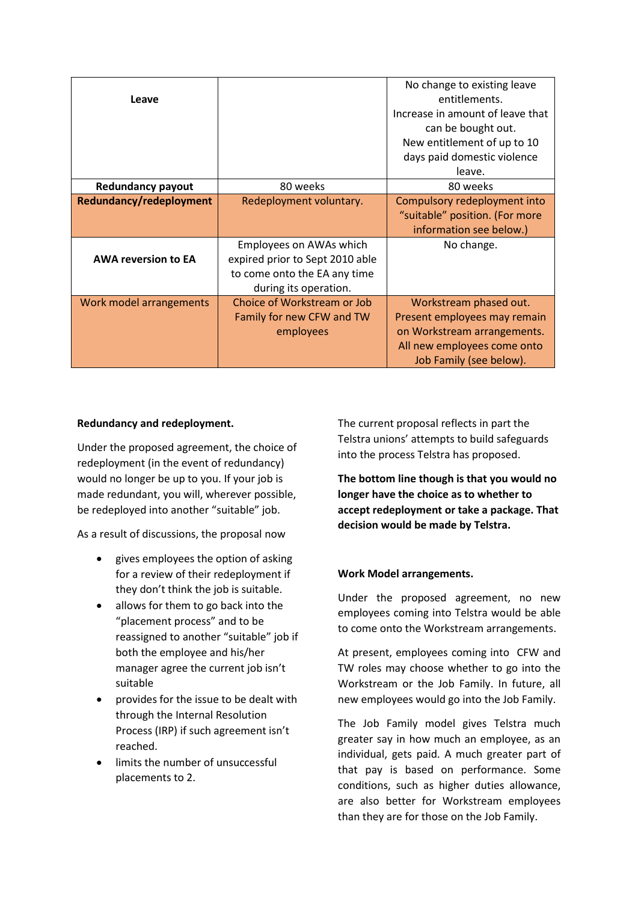| Leave                      |                                                       | No change to existing leave<br>entitlements.<br>Increase in amount of leave that<br>can be bought out. |
|----------------------------|-------------------------------------------------------|--------------------------------------------------------------------------------------------------------|
|                            |                                                       | New entitlement of up to 10                                                                            |
|                            |                                                       | days paid domestic violence<br>leave.                                                                  |
| <b>Redundancy payout</b>   | 80 weeks                                              | 80 weeks                                                                                               |
| Redundancy/redeployment    | Redeployment voluntary.                               | Compulsory redeployment into                                                                           |
|                            |                                                       | "suitable" position. (For more<br>information see below.)                                              |
|                            | Employees on AWAs which                               | No change.                                                                                             |
| <b>AWA reversion to EA</b> | expired prior to Sept 2010 able                       |                                                                                                        |
|                            | to come onto the EA any time<br>during its operation. |                                                                                                        |
| Work model arrangements    | Choice of Workstream or Job                           | Workstream phased out.                                                                                 |
|                            | Family for new CFW and TW                             | Present employees may remain                                                                           |
|                            | employees                                             | on Workstream arrangements.                                                                            |
|                            |                                                       | All new employees come onto<br>Job Family (see below).                                                 |
|                            |                                                       |                                                                                                        |

### **Redundancy and redeployment.**

Under the proposed agreement, the choice of redeployment (in the event of redundancy) would no longer be up to you. If your job is made redundant, you will, wherever possible, be redeployed into another "suitable" job.

As a result of discussions, the proposal now

- gives employees the option of asking for a review of their redeployment if they don't think the job is suitable.
- allows for them to go back into the "placement process" and to be reassigned to another "suitable" job if both the employee and his/her manager agree the current job isn't suitable
- provides for the issue to be dealt with through the Internal Resolution Process (IRP) if such agreement isn't reached.
- limits the number of unsuccessful placements to 2.

The current proposal reflects in part the Telstra unions' attempts to build safeguards into the process Telstra has proposed.

**The bottom line though is that you would no longer have the choice as to whether to accept redeployment or take a package. That decision would be made by Telstra.**

## **Work Model arrangements.**

Under the proposed agreement, no new employees coming into Telstra would be able to come onto the Workstream arrangements.

At present, employees coming into CFW and TW roles may choose whether to go into the Workstream or the Job Family. In future, all new employees would go into the Job Family.

The Job Family model gives Telstra much greater say in how much an employee, as an individual, gets paid. A much greater part of that pay is based on performance. Some conditions, such as higher duties allowance, are also better for Workstream employees than they are for those on the Job Family.